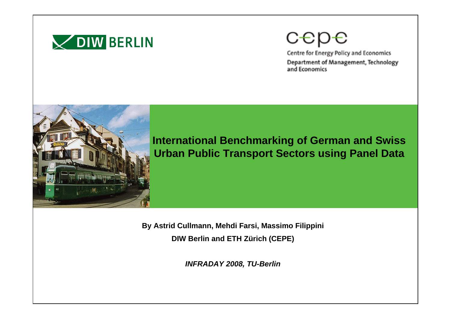

# cepe

Centre for Energy Policy and Economics Department of Management, Technology and Economics



**International Benchmarking of German and Swiss Urban Public Transport Sectors using Panel Data**

**By Astrid Cullmann, Mehdi Farsi, Massimo Filippini DIW Berlin and ETH Zürich (CEPE)**

*INFRADAY 2008, TU-Berlin*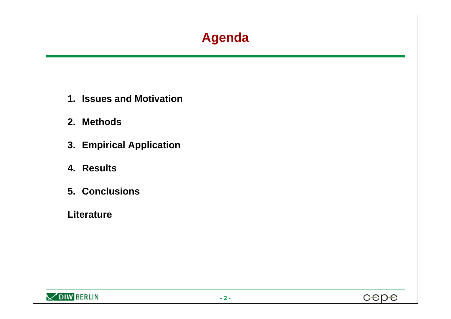# **Agenda**

- **1. Issues and Motivation**
- **2. Methods**
- **3. Empirical Application**
- **4. Results**
- **5. Conclusions**
- **Literature**



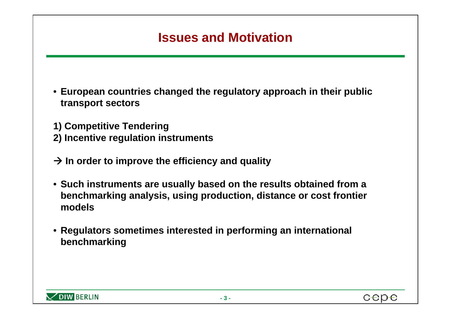#### **Issues and Motivation**

• **European countries changed the regulatory approach in their public transport sectors**

**1) Competitive Tendering 2) Incentive regulation instruments**

- $\rightarrow$  In order to improve the efficiency and quality
- **Such instruments are usually based on the results obtained from a benchmarking analysis, using production, distance or cost frontier models**
- **Regulators sometimes interested in performing an international benchmarking**

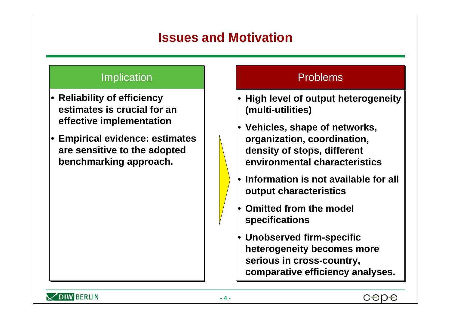#### **Issues and Motivation**

#### **Implication**

- **Reliability of efficiency Reliability of efficiency estimates is crucial for an estimates is crucial for an effective implementation effective implementation**
- **Empirical evidence: estimates Empirical evidence: estimates are sensitive to the adopted are sensitive to the adopted benchmarking approach. benchmarking approach.**

#### Problems

- **High level of output heterogeneity High level of output heterogeneity (multi-utilities) (multi-utilities)**
- **Vehicles, shape of networks, Vehicles, shape of networks, organization, coordination, organization, coordination, density of stops, different density of stops, different environmental characteristics environmental characteristics**
- **Information is not available for all Information is not available for all output characteristics output characteristics**
- **Omitted from the model Omitted from the model specifications specifications**
- **Unobserved firm-specific Unobserved firm-specific heterogeneity becomes more heterogeneity becomes more serious in cross-country, serious in cross-country, comparative efficiency analyses. comparative efficiency analyses.**

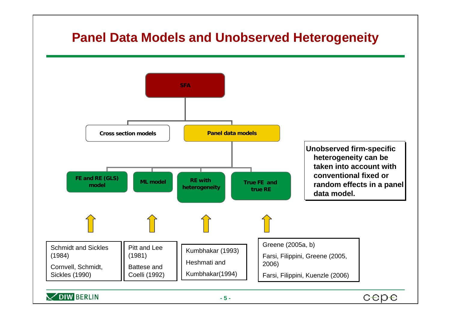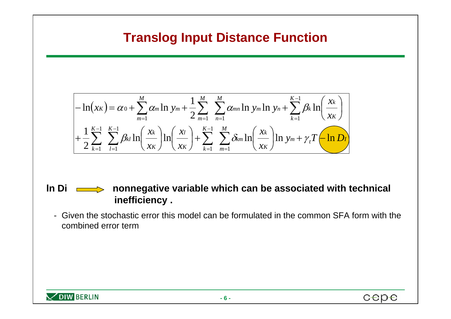#### **Translog Input Distance Function**

$$
-\ln(x_{K}) = \alpha_{0} + \sum_{m=1}^{M} \alpha_{m} \ln y_{m} + \frac{1}{2} \sum_{m=1}^{M} \sum_{n=1}^{M} \alpha_{mn} \ln y_{m} \ln y_{n} + \sum_{k=1}^{K-1} \beta_{k} \ln \left( \frac{x_{k}}{x_{K}} \right)
$$

$$
+\frac{1}{2} \sum_{k=1}^{K-1} \sum_{l=1}^{K-1} \beta_{kl} \ln \left( \frac{x_{k}}{x_{K}} \right) \ln \left( \frac{x_{l}}{x_{K}} \right) + \sum_{k=1}^{K-1} \sum_{m=1}^{M} \delta_{km} \ln \left( \frac{x_{k}}{x_{K}} \right) \ln y_{m} + \gamma_{t} T \left( \ln D_{l} \right)
$$

**ln Di nonnegative variable which can be associated with technical inefficiency .** 

- Given the stochastic error this model can be formulated in the common SFA form with the combined error term



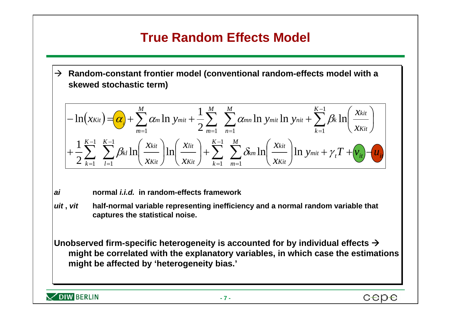# **True Random Effects Model**

 $\rightarrow$  Random-constant frontier model (conventional random-effects model with a **skewed stochastic term) skewed stochastic term)**

$$
- \ln(x_{Kit}) = \frac{a}{\alpha} + \sum_{m=1}^{M} \alpha_m \ln y_{mit} + \frac{1}{2} \sum_{m=1}^{M} \sum_{n=1}^{M} \alpha_{mn} \ln y_{mit} \ln y_{nit} + \sum_{k=1}^{K-1} \beta_k \ln \left( \frac{x_{kit}}{x_{Kit}} \right)
$$

$$
+ \frac{1}{2} \sum_{k=1}^{K-1} \sum_{l=1}^{K-1} \beta_{kl} \ln \left( \frac{x_{kit}}{x_{Kit}} \right) \ln \left( \frac{x_{kit}}{x_{Kit}} \right) + \sum_{k=1}^{K-1} \sum_{m=1}^{M} \delta_{km} \ln \left( \frac{x_{kit}}{x_{Kit}} \right) \ln y_{mit} + \gamma_t T + v_{it} - u_{it}
$$

- *aiai***normal** *i.i.d.* **in random-effects framework normal** *i.i.d.* **in random-effects framework**
- *uituit* **,** *vit* **half-normal variable representing inefficiency and a normal random variable that ,** *vit* **half-normal variable representing inefficiency and a normal random variable that captures the statistical noise. captures the statistical noise.**

**Unobserved firm-specific heterogeneity is accounted for by individual effects**  $\rightarrow$ **might be correlated with the explanatory variables, in which case the estimations might be correlated with the explanatory variables, in which case the estimations might be affected by 'heterogeneity bias.' might be affected by 'heterogeneity bias.'**

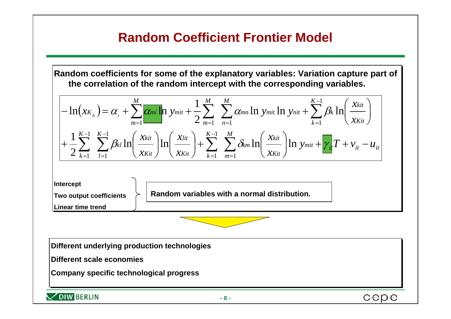#### **Random Coefficient Frontier Model**

**Random coefficients for some of the explanatory variables: Variation capture part of Random coefficients for some of the explanatory variables: Variation capture part of the correlation of the random intercept with the corresponding variables. the correlation of the random intercept with the corresponding variables.** 

$$
- \ln(x_{K_{it}}) = \alpha_{i} + \sum_{m=1}^{M} \frac{\alpha_{mi} \ln y_{mit} + \frac{1}{2} \sum_{m=1}^{M} \sum_{n=1}^{M} \alpha_{mn} \ln y_{mit} + \sum_{k=1}^{K-1} \beta_{k} \ln \left( \frac{x_{kit}}{x_{Kit}} \right)}{2 \frac{K}{k}} + \frac{1}{2} \sum_{k=1}^{K-1} \sum_{l=1}^{K-1} \beta_{kl} \ln \left( \frac{x_{kit}}{x_{Kit}} \right) \ln \left( \frac{x_{kit}}{x_{Kit}} \right) + \sum_{k=1}^{K-1} \sum_{m=1}^{M} \delta_{km} \ln \left( \frac{x_{kit}}{x_{Kit}} \right) \ln y_{mit} + \gamma_{it} T + v_{it} - u_{it}
$$

**Intercept Intercept Two output coefficients Two output coefficients Linear time trend Linear time trend Random variables with a normal distribution.**

**Different underlying production technologies Different underlying production technologies** 

**Different scale economies** 

**Company specific technological progress Company specific technological progress**

 $\times$ DIW BERLIN

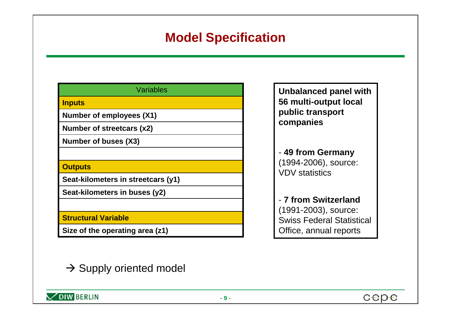### **Model Specification**

| Variables                          |
|------------------------------------|
| <b>Inputs</b>                      |
| Number of employees (X1)           |
| Number of streetcars (x2)          |
| Number of buses (X3)               |
|                                    |
| <b>Outputs</b>                     |
| Seat-kilometers in streetcars (y1) |
| Seat-kilometers in buses (y2)      |
|                                    |
| <b>Structural Variable</b>         |
| Size of the operating area (z1)    |

**Unbalanced panel with 56 multi-output local public transport companies**

- **49 from Germany** (1994-2006), source: VDV statistics

- **7 from Switzerland**(1991-2003), source: Swiss Federal Statistical Office, annual reports

 $\rightarrow$  Supply oriented model

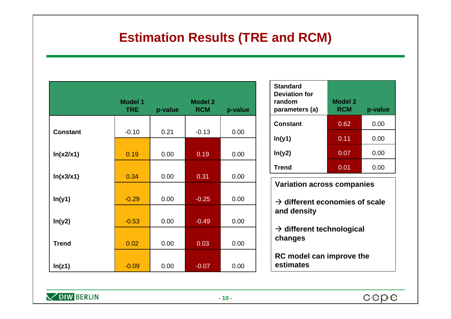#### **Estimation Results (TRE and RCM)**

|                 | <b>Model 1</b><br><b>TRE</b> | p-value | <b>Model 2</b><br><b>RCM</b> | p-value |
|-----------------|------------------------------|---------|------------------------------|---------|
| <b>Constant</b> | $-0.10$                      | 0.21    | $-0.13$                      | 0.00    |
| ln(x2/x1)       | 0.19                         | 0.00    | 0.19                         | 0.00    |
| ln(x3/x1)       | 0.34                         | 0.00    | 0.31                         | 0.00    |
| ln(y1)          | $-0.29$                      | 0.00    | $-0.25$                      | 0.00    |
| ln(y2)          | $-0.53$                      | 0.00    | $-0.49$                      | 0.00    |
| <b>Trend</b>    | 0.02                         | 0.00    | 0.03                         | 0.00    |
| In(z1)          | $-0.09$                      | 0.00    | $-0.07$                      | 0.00    |

| <b>Standard</b><br><b>Deviation for</b><br>random<br>parameters (a) | <b>Model 2</b><br><b>RCM</b> | p-value |
|---------------------------------------------------------------------|------------------------------|---------|
| <b>Constant</b>                                                     | 0.62                         | 0.00    |
| ln(y1)                                                              | 0.11                         | 0.00    |
| ln(y2)                                                              | 0.07                         | 0.00    |
| <b>Trend</b>                                                        | 0.01                         | 0.00    |

| <b>Variation across companies</b>                         |
|-----------------------------------------------------------|
| $\rightarrow$ different economies of scale<br>and density |
| $\rightarrow$ different technological<br>changes          |
| RC model can improve the<br>estimates                     |

 $\times$  DIW BERLIN

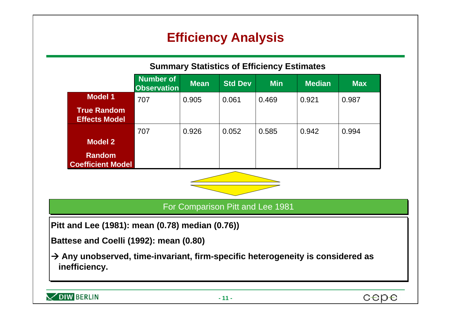# **Efficiency Analysis**



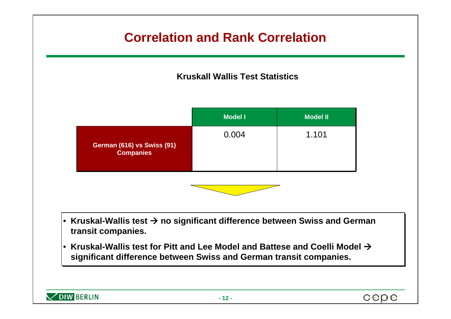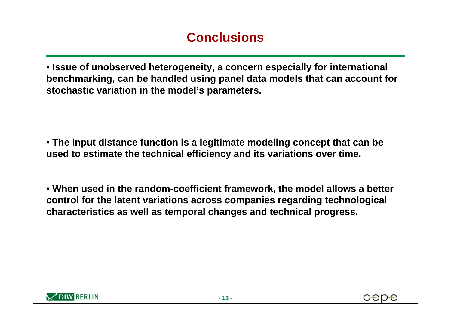# **Conclusions**

• **Issue of unobserved heterogeneity, a concern especially for international benchmarking, can be handled using panel data models that can account for stochastic variation in the model's parameters.**

• **The input distance function is a legitimate modeling concept that can be used to estimate the technical efficiency and its variations over time.** 

• **When used in the random-coefficient framework, the model allows a better control for the latent variations across companies regarding technological characteristics as well as temporal changes and technical progress.** 

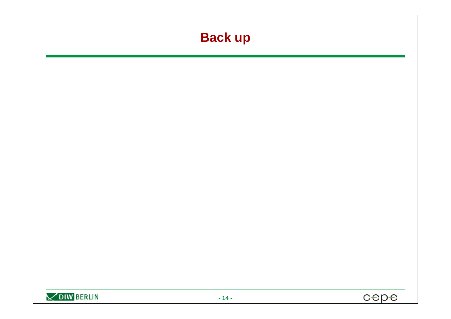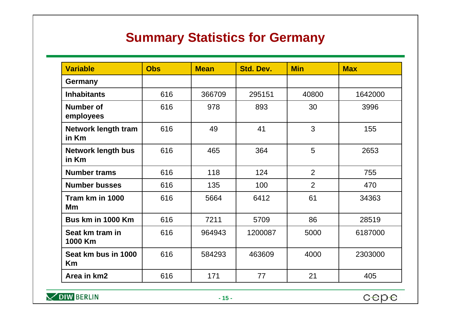## **Summary Statistics for Germany**

| <b>Variable</b>                     | <b>Obs</b> | <b>Mean</b> | <b>Std. Dev.</b> | <b>Min</b> | <b>Max</b> |
|-------------------------------------|------------|-------------|------------------|------------|------------|
| Germany                             |            |             |                  |            |            |
| <b>Inhabitants</b>                  | 616        | 366709      | 295151           | 40800      | 1642000    |
| <b>Number of</b><br>employees       | 616        | 978         | 893              | 30         | 3996       |
| <b>Network length tram</b><br>in Km | 616        | 49          | 41               | 3          | 155        |
| <b>Network length bus</b><br>in Km  | 616        | 465         | 364              | 5          | 2653       |
| <b>Number trams</b>                 | 616        | 118         | 124              | 2          | 755        |
| <b>Number busses</b>                | 616        | 135         | 100              | 2          | 470        |
| Tram km in 1000<br>Mm               | 616        | 5664        | 6412             | 61         | 34363      |
| Bus km in 1000 Km                   | 616        | 7211        | 5709             | 86         | 28519      |
| Seat km tram in<br>1000 Km          | 616        | 964943      | 1200087          | 5000       | 6187000    |
| Seat km bus in 1000<br>Km           | 616        | 584293      | 463609           | 4000       | 2303000    |
| Area in km2                         | 616        | 171         | 77               | 21         | 405        |

 $\times$  DIW BERLIN

cepe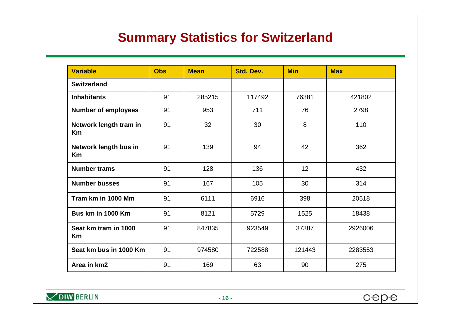### **Summary Statistics for Switzerland**

| <b>Variable</b>                     | <b>Obs</b> | <b>Mean</b> | <b>Std. Dev.</b> | <b>Min</b> | <b>Max</b> |
|-------------------------------------|------------|-------------|------------------|------------|------------|
| <b>Switzerland</b>                  |            |             |                  |            |            |
| <b>Inhabitants</b>                  | 91         | 285215      | 117492           | 76381      | 421802     |
| <b>Number of employees</b>          | 91         | 953         | 711              | 76         | 2798       |
| Network length tram in<br><b>Km</b> | 91         | 32          | 30               | 8          | 110        |
| Network length bus in<br><b>Km</b>  | 91         | 139         | 94               | 42         | 362        |
| <b>Number trams</b>                 | 91         | 128         | 136              | 12         | 432        |
| <b>Number busses</b>                | 91         | 167         | 105              | 30         | 314        |
| Tram km in 1000 Mm                  | 91         | 6111        | 6916             | 398        | 20518      |
| Bus km in 1000 Km                   | 91         | 8121        | 5729             | 1525       | 18438      |
| Seat km tram in 1000<br><b>Km</b>   | 91         | 847835      | 923549           | 37387      | 2926006    |
| Seat km bus in 1000 Km              | 91         | 974580      | 722588           | 121443     | 2283553    |
| Area in km2                         | 91         | 169         | 63               | 90         | 275        |

 $\times$  DIW BERLIN

cepe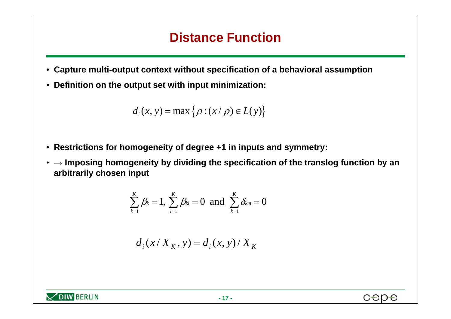#### **Distance Function**

- **Capture multi-output context without specification of a behavioral assumption**
- **Definition on the output set with input minimization:**

$$
d_i(x, y) = \max \{ \rho : (x/\rho) \in L(y) \}
$$

- **Restrictions for homogeneity of degree +1 in inputs and symmetry:**
- **→ Imposing homogeneity by dividing the specification of the translog function by an arbitrarily chosen input**

$$
\sum_{k=1}^K \beta_k = 1, \sum_{l=1}^K \beta_{kl} = 0 \text{ and } \sum_{k=1}^K \delta_{km} = 0
$$

$$
d_i(x/X_K, y) = d_i(x, y) / X_K
$$